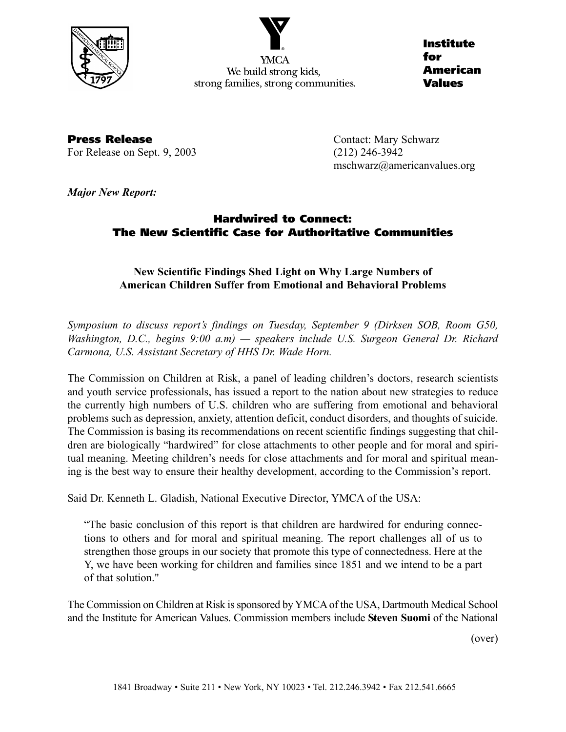

We build strong kids, strong families, strong communities.

**Institute for American Values**

**Press Release Contact: Mary Schwarz** For Release on Sept. 9, 2003 (212) 246-3942

mschwarz@americanvalues.org

*Major New Report:*

# **Hardwired to Connect: The New Scientific Case for Authoritative Communities**

## **New Scientific Findings Shed Light on Why Large Numbers of American Children Suffer from Emotional and Behavioral Problems**

*Symposium to discuss report's findings on Tuesday, September 9 (Dirksen SOB, Room G50, Washington, D.C., begins 9:00 a.m) — speakers include U.S. Surgeon General Dr. Richard Carmona, U.S. Assistant Secretary of HHS Dr. Wade Horn.* 

The Commission on Children at Risk, a panel of leading children's doctors, research scientists and youth service professionals, has issued a report to the nation about new strategies to reduce the currently high numbers of U.S. children who are suffering from emotional and behavioral problems such as depression, anxiety, attention deficit, conduct disorders, and thoughts of suicide. The Commission is basing its recommendations on recent scientific findings suggesting that children are biologically "hardwired" for close attachments to other people and for moral and spiritual meaning. Meeting children's needs for close attachments and for moral and spiritual meaning is the best way to ensure their healthy development, according to the Commission's report.

Said Dr. Kenneth L. Gladish, National Executive Director, YMCA of the USA:

"The basic conclusion of this report is that children are hardwired for enduring connections to others and for moral and spiritual meaning. The report challenges all of us to strengthen those groups in our society that promote this type of connectedness. Here at the Y, we have been working for children and families since 1851 and we intend to be a part of that solution."

The Commission on Children at Risk is sponsored by YMCA of the USA, Dartmouth Medical School and the Institute for American Values. Commission members include **Steven Suomi** of the National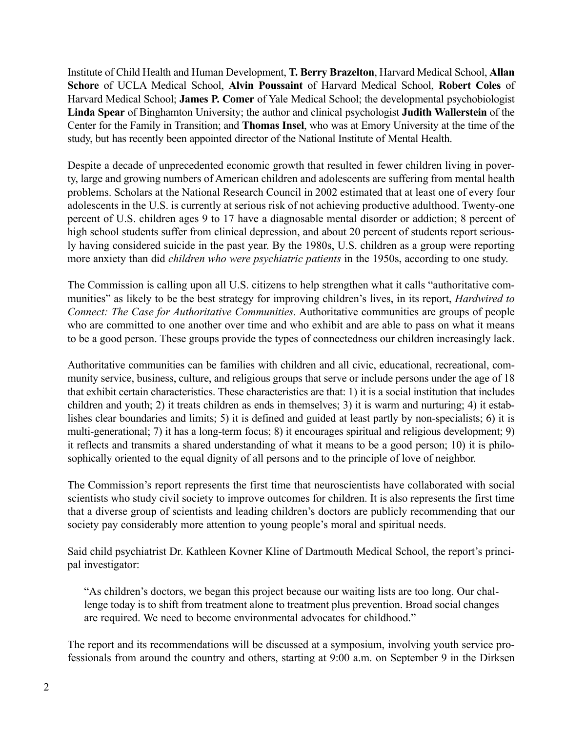Institute of Child Health and Human Development, **T. Berry Brazelton**, Harvard Medical School, **Allan Schore** of UCLA Medical School, **Alvin Poussaint** of Harvard Medical School, **Robert Coles** of Harvard Medical School; **James P. Comer** of Yale Medical School; the developmental psychobiologist **Linda Spear** of Binghamton University; the author and clinical psychologist **Judith Wallerstein** of the Center for the Family in Transition; and **Thomas Insel**, who was at Emory University at the time of the study, but has recently been appointed director of the National Institute of Mental Health.

Despite a decade of unprecedented economic growth that resulted in fewer children living in poverty, large and growing numbers of American children and adolescents are suffering from mental health problems. Scholars at the National Research Council in 2002 estimated that at least one of every four adolescents in the U.S. is currently at serious risk of not achieving productive adulthood. Twenty-one percent of U.S. children ages 9 to 17 have a diagnosable mental disorder or addiction; 8 percent of high school students suffer from clinical depression, and about 20 percent of students report seriously having considered suicide in the past year. By the 1980s, U.S. children as a group were reporting more anxiety than did *children who were psychiatric patients* in the 1950s, according to one study.

The Commission is calling upon all U.S. citizens to help strengthen what it calls "authoritative communities" as likely to be the best strategy for improving children's lives, in its report, *Hardwired to Connect: The Case for Authoritative Communities.* Authoritative communities are groups of people who are committed to one another over time and who exhibit and are able to pass on what it means to be a good person. These groups provide the types of connectedness our children increasingly lack.

Authoritative communities can be families with children and all civic, educational, recreational, community service, business, culture, and religious groups that serve or include persons under the age of 18 that exhibit certain characteristics. These characteristics are that: 1) it is a social institution that includes children and youth; 2) it treats children as ends in themselves; 3) it is warm and nurturing; 4) it establishes clear boundaries and limits; 5) it is defined and guided at least partly by non-specialists; 6) it is multi-generational; 7) it has a long-term focus; 8) it encourages spiritual and religious development; 9) it reflects and transmits a shared understanding of what it means to be a good person; 10) it is philosophically oriented to the equal dignity of all persons and to the principle of love of neighbor.

The Commission's report represents the first time that neuroscientists have collaborated with social scientists who study civil society to improve outcomes for children. It is also represents the first time that a diverse group of scientists and leading children's doctors are publicly recommending that our society pay considerably more attention to young people's moral and spiritual needs.

Said child psychiatrist Dr. Kathleen Kovner Kline of Dartmouth Medical School, the report's principal investigator:

"As children's doctors, we began this project because our waiting lists are too long. Our challenge today is to shift from treatment alone to treatment plus prevention. Broad social changes are required. We need to become environmental advocates for childhood."

The report and its recommendations will be discussed at a symposium, involving youth service professionals from around the country and others, starting at 9:00 a.m. on September 9 in the Dirksen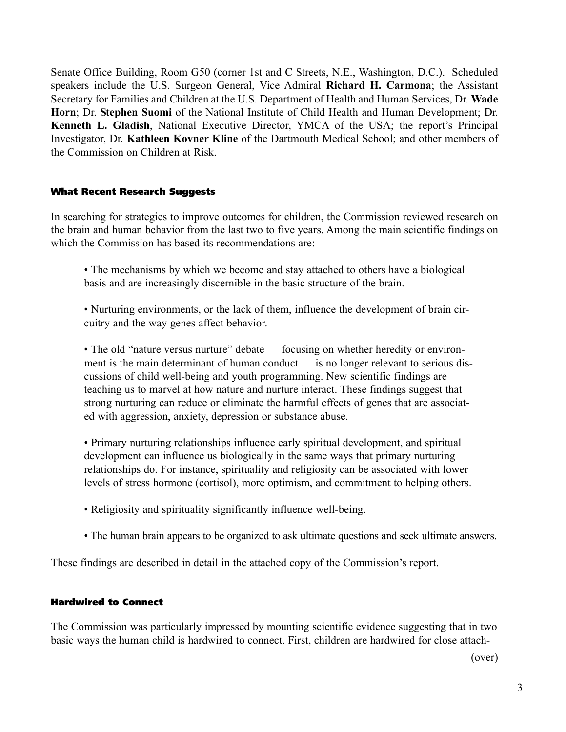Senate Office Building, Room G50 (corner 1st and C Streets, N.E., Washington, D.C.). Scheduled speakers include the U.S. Surgeon General, Vice Admiral **Richard H. Carmona**; the Assistant Secretary for Families and Children at the U.S. Department of Health and Human Services, Dr. **Wade Horn**; Dr. **Stephen Suomi** of the National Institute of Child Health and Human Development; Dr. **Kenneth L. Gladish**, National Executive Director, YMCA of the USA; the report's Principal Investigator, Dr. **Kathleen Kovner Kline** of the Dartmouth Medical School; and other members of the Commission on Children at Risk.

#### **What Recent Research Suggests**

In searching for strategies to improve outcomes for children, the Commission reviewed research on the brain and human behavior from the last two to five years. Among the main scientific findings on which the Commission has based its recommendations are:

• The mechanisms by which we become and stay attached to others have a biological basis and are increasingly discernible in the basic structure of the brain.

• Nurturing environments, or the lack of them, influence the development of brain circuitry and the way genes affect behavior.

• The old "nature versus nurture" debate — focusing on whether heredity or environment is the main determinant of human conduct — is no longer relevant to serious discussions of child well-being and youth programming. New scientific findings are teaching us to marvel at how nature and nurture interact. These findings suggest that strong nurturing can reduce or eliminate the harmful effects of genes that are associated with aggression, anxiety, depression or substance abuse.

• Primary nurturing relationships influence early spiritual development, and spiritual development can influence us biologically in the same ways that primary nurturing relationships do. For instance, spirituality and religiosity can be associated with lower levels of stress hormone (cortisol), more optimism, and commitment to helping others.

- Religiosity and spirituality significantly influence well-being.
- The human brain appears to be organized to ask ultimate questions and seek ultimate answers.

These findings are described in detail in the attached copy of the Commission's report.

### **Hardwired to Connect**

The Commission was particularly impressed by mounting scientific evidence suggesting that in two basic ways the human child is hardwired to connect. First, children are hardwired for close attach-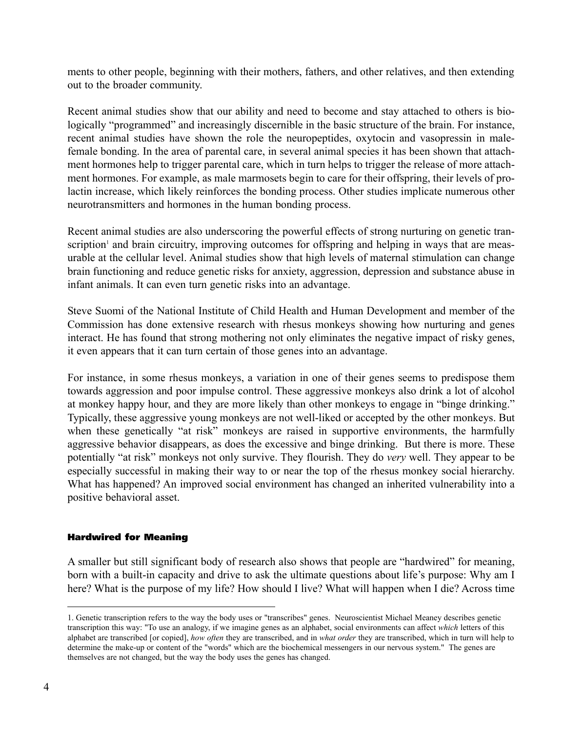ments to other people, beginning with their mothers, fathers, and other relatives, and then extending out to the broader community.

Recent animal studies show that our ability and need to become and stay attached to others is biologically "programmed" and increasingly discernible in the basic structure of the brain. For instance, recent animal studies have shown the role the neuropeptides, oxytocin and vasopressin in malefemale bonding. In the area of parental care, in several animal species it has been shown that attachment hormones help to trigger parental care, which in turn helps to trigger the release of more attachment hormones. For example, as male marmosets begin to care for their offspring, their levels of prolactin increase, which likely reinforces the bonding process. Other studies implicate numerous other neurotransmitters and hormones in the human bonding process.

Recent animal studies are also underscoring the powerful effects of strong nurturing on genetic transcription<sup>1</sup> and brain circuitry, improving outcomes for offspring and helping in ways that are measurable at the cellular level. Animal studies show that high levels of maternal stimulation can change brain functioning and reduce genetic risks for anxiety, aggression, depression and substance abuse in infant animals. It can even turn genetic risks into an advantage.

Steve Suomi of the National Institute of Child Health and Human Development and member of the Commission has done extensive research with rhesus monkeys showing how nurturing and genes interact. He has found that strong mothering not only eliminates the negative impact of risky genes, it even appears that it can turn certain of those genes into an advantage.

For instance, in some rhesus monkeys, a variation in one of their genes seems to predispose them towards aggression and poor impulse control. These aggressive monkeys also drink a lot of alcohol at monkey happy hour, and they are more likely than other monkeys to engage in "binge drinking." Typically, these aggressive young monkeys are not well-liked or accepted by the other monkeys. But when these genetically "at risk" monkeys are raised in supportive environments, the harmfully aggressive behavior disappears, as does the excessive and binge drinking. But there is more. These potentially "at risk" monkeys not only survive. They flourish. They do *very* well. They appear to be especially successful in making their way to or near the top of the rhesus monkey social hierarchy. What has happened? An improved social environment has changed an inherited vulnerability into a positive behavioral asset.

### **Hardwired for Meaning**

A smaller but still significant body of research also shows that people are "hardwired" for meaning, born with a built-in capacity and drive to ask the ultimate questions about life's purpose: Why am I here? What is the purpose of my life? How should I live? What will happen when I die? Across time

<sup>1.</sup> Genetic transcription refers to the way the body uses or "transcribes" genes. Neuroscientist Michael Meaney describes genetic transcription this way: "To use an analogy, if we imagine genes as an alphabet, social environments can affect *which* letters of this alphabet are transcribed [or copied], *how often* they are transcribed, and in *what order* they are transcribed, which in turn will help to determine the make-up or content of the "words" which are the biochemical messengers in our nervous system." The genes are themselves are not changed, but the way the body uses the genes has changed.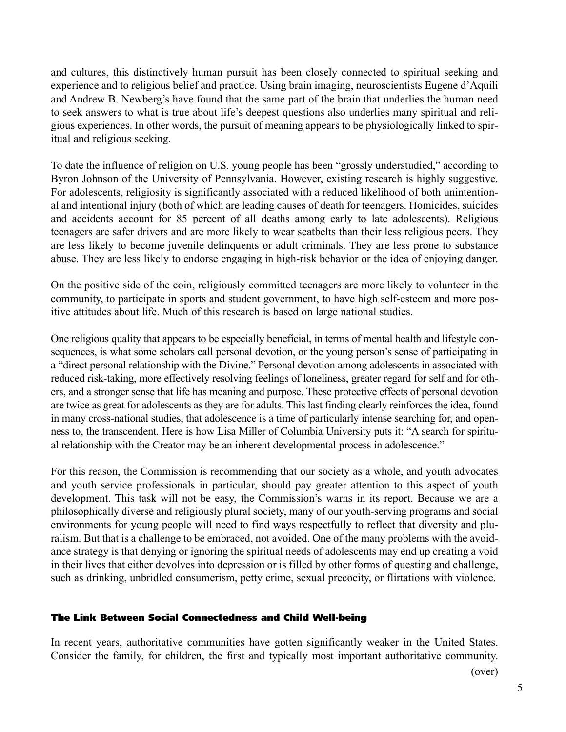and cultures, this distinctively human pursuit has been closely connected to spiritual seeking and experience and to religious belief and practice. Using brain imaging, neuroscientists Eugene d'Aquili and Andrew B. Newberg's have found that the same part of the brain that underlies the human need to seek answers to what is true about life's deepest questions also underlies many spiritual and religious experiences. In other words, the pursuit of meaning appears to be physiologically linked to spiritual and religious seeking.

To date the influence of religion on U.S. young people has been "grossly understudied," according to Byron Johnson of the University of Pennsylvania. However, existing research is highly suggestive. For adolescents, religiosity is significantly associated with a reduced likelihood of both unintentional and intentional injury (both of which are leading causes of death for teenagers. Homicides, suicides and accidents account for 85 percent of all deaths among early to late adolescents). Religious teenagers are safer drivers and are more likely to wear seatbelts than their less religious peers. They are less likely to become juvenile delinquents or adult criminals. They are less prone to substance abuse. They are less likely to endorse engaging in high-risk behavior or the idea of enjoying danger.

On the positive side of the coin, religiously committed teenagers are more likely to volunteer in the community, to participate in sports and student government, to have high self-esteem and more positive attitudes about life. Much of this research is based on large national studies.

One religious quality that appears to be especially beneficial, in terms of mental health and lifestyle consequences, is what some scholars call personal devotion, or the young person's sense of participating in a "direct personal relationship with the Divine." Personal devotion among adolescents in associated with reduced risk-taking, more effectively resolving feelings of loneliness, greater regard for self and for others, and a stronger sense that life has meaning and purpose. These protective effects of personal devotion are twice as great for adolescents as they are for adults. This last finding clearly reinforces the idea, found in many cross-national studies, that adolescence is a time of particularly intense searching for, and openness to, the transcendent. Here is how Lisa Miller of Columbia University puts it: "A search for spiritual relationship with the Creator may be an inherent developmental process in adolescence."

For this reason, the Commission is recommending that our society as a whole, and youth advocates and youth service professionals in particular, should pay greater attention to this aspect of youth development. This task will not be easy, the Commission's warns in its report. Because we are a philosophically diverse and religiously plural society, many of our youth-serving programs and social environments for young people will need to find ways respectfully to reflect that diversity and pluralism. But that is a challenge to be embraced, not avoided. One of the many problems with the avoidance strategy is that denying or ignoring the spiritual needs of adolescents may end up creating a void in their lives that either devolves into depression or is filled by other forms of questing and challenge, such as drinking, unbridled consumerism, petty crime, sexual precocity, or flirtations with violence.

### **The Link Between Social Connectedness and Child Well-being**

In recent years, authoritative communities have gotten significantly weaker in the United States. Consider the family, for children, the first and typically most important authoritative community.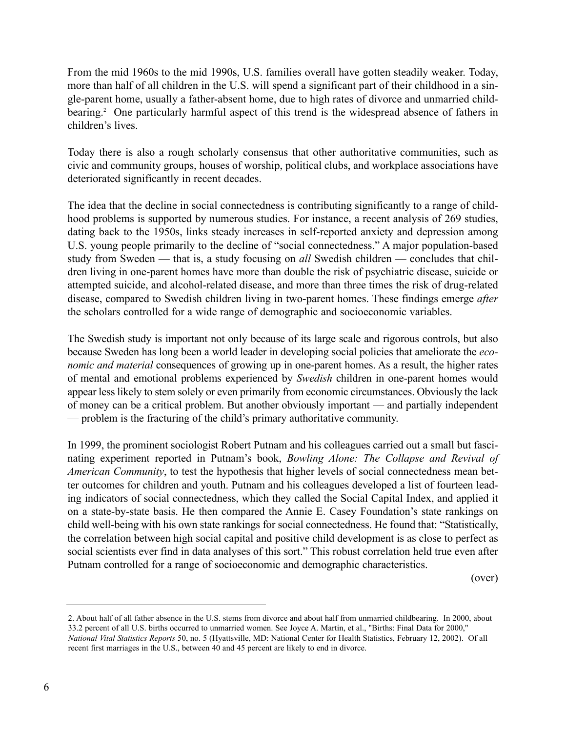From the mid 1960s to the mid 1990s, U.S. families overall have gotten steadily weaker. Today, more than half of all children in the U.S. will spend a significant part of their childhood in a single-parent home, usually a father-absent home, due to high rates of divorce and unmarried childbearing.<sup>2</sup> One particularly harmful aspect of this trend is the widespread absence of fathers in children's lives.

Today there is also a rough scholarly consensus that other authoritative communities, such as civic and community groups, houses of worship, political clubs, and workplace associations have deteriorated significantly in recent decades.

The idea that the decline in social connectedness is contributing significantly to a range of childhood problems is supported by numerous studies. For instance, a recent analysis of 269 studies, dating back to the 1950s, links steady increases in self-reported anxiety and depression among U.S. young people primarily to the decline of "social connectedness." A major population-based study from Sweden — that is, a study focusing on *all* Swedish children — concludes that children living in one-parent homes have more than double the risk of psychiatric disease, suicide or attempted suicide, and alcohol-related disease, and more than three times the risk of drug-related disease, compared to Swedish children living in two-parent homes. These findings emerge *after* the scholars controlled for a wide range of demographic and socioeconomic variables.

The Swedish study is important not only because of its large scale and rigorous controls, but also because Sweden has long been a world leader in developing social policies that ameliorate the *economic and material* consequences of growing up in one-parent homes. As a result, the higher rates of mental and emotional problems experienced by *Swedish* children in one-parent homes would appear less likely to stem solely or even primarily from economic circumstances. Obviously the lack of money can be a critical problem. But another obviously important — and partially independent — problem is the fracturing of the child's primary authoritative community.

In 1999, the prominent sociologist Robert Putnam and his colleagues carried out a small but fascinating experiment reported in Putnam's book, *Bowling Alone: The Collapse and Revival of American Community*, to test the hypothesis that higher levels of social connectedness mean better outcomes for children and youth. Putnam and his colleagues developed a list of fourteen leading indicators of social connectedness, which they called the Social Capital Index, and applied it on a state-by-state basis. He then compared the Annie E. Casey Foundation's state rankings on child well-being with his own state rankings for social connectedness. He found that: "Statistically, the correlation between high social capital and positive child development is as close to perfect as social scientists ever find in data analyses of this sort." This robust correlation held true even after Putnam controlled for a range of socioeconomic and demographic characteristics.

<sup>2.</sup> About half of all father absence in the U.S. stems from divorce and about half from unmarried childbearing. In 2000, about 33.2 percent of all U.S. births occurred to unmarried women. See Joyce A. Martin, et al., "Births: Final Data for 2000," *National Vital Statistics Reports* 50, no. 5 (Hyattsville, MD: National Center for Health Statistics, February 12, 2002). Of all recent first marriages in the U.S., between 40 and 45 percent are likely to end in divorce.